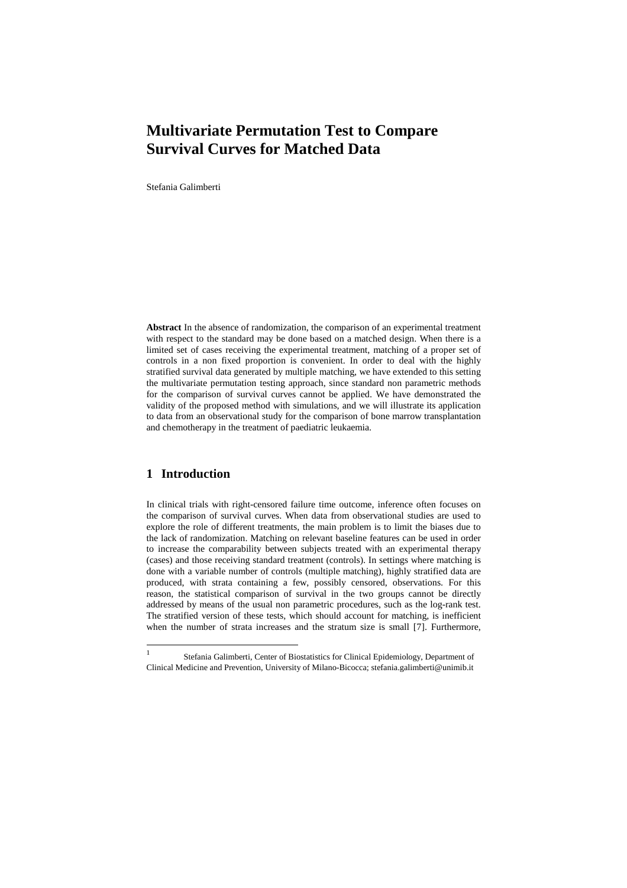# **Multivariate Permutation Test to Compare Survival Curves for Matched Data**

Stefania Galimberti

**Abstract** In the absence of randomization, the comparison of an experimental treatment with respect to the standard may be done based on a matched design. When there is a limited set of cases receiving the experimental treatment, matching of a proper set of controls in a non fixed proportion is convenient. In order to deal with the highly stratified survival data generated by multiple matching, we have extended to this setting the multivariate permutation testing approach, since standard non parametric methods for the comparison of survival curves cannot be applied. We have demonstrated the validity of the proposed method with simulations, and we will illustrate its application to data from an observational study for the comparison of bone marrow transplantation and chemotherapy in the treatment of paediatric leukaemia.

## **1 Introduction**

In clinical trials with right-censored failure time outcome, inference often focuses on the comparison of survival curves. When data from observational studies are used to explore the role of different treatments, the main problem is to limit the biases due to the lack of randomization. Matching on relevant baseline features can be used in order to increase the comparability between subjects treated with an experimental therapy (cases) and those receiving standard treatment (controls). In settings where matching is done with a variable number of controls (multiple matching), highly stratified data are produced, with strata containing a few, possibly censored, observations. For this reason, the statistical comparison of survival in the two groups cannot be directly addressed by means of the usual non parametric procedures, such as the log-rank test. The stratified version of these tests, which should account for matching, is inefficient when the number of strata increases and the stratum size is small [7]. Furthermore,

 $\frac{1}{1}$  Stefania Galimberti, Center of Biostatistics for Clinical Epidemiology, Department of Clinical Medicine and Prevention, University of Milano-Bicocca; stefania.galimberti@unimib.it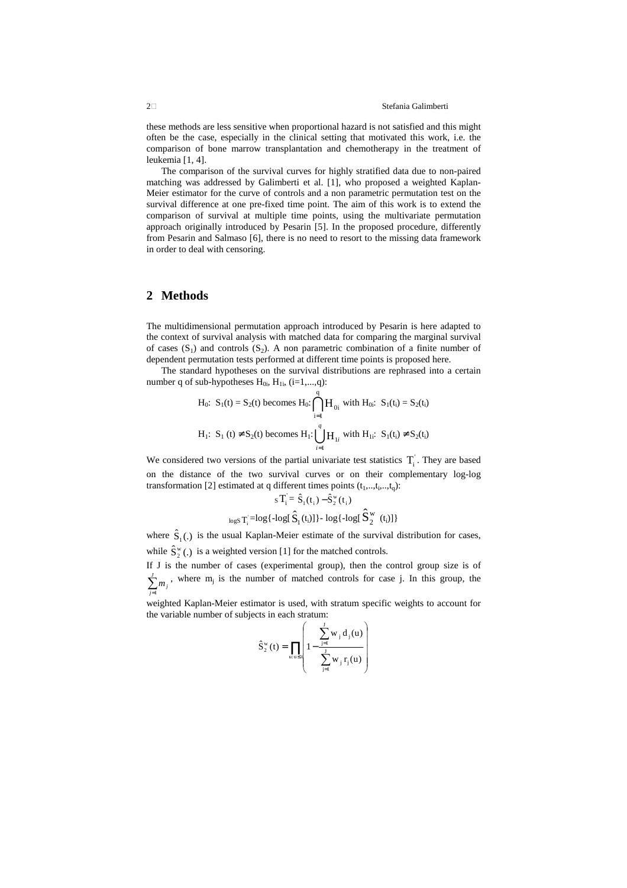these methods are less sensitive when proportional hazard is not satisfied and this might often be the case, especially in the clinical setting that motivated this work, i.e. the comparison of bone marrow transplantation and chemotherapy in the treatment of leukemia [1, 4].

The comparison of the survival curves for highly stratified data due to non-paired matching was addressed by Galimberti et al. [1], who proposed a weighted Kaplan-Meier estimator for the curve of controls and a non parametric permutation test on the survival difference at one pre-fixed time point. The aim of this work is to extend the comparison of survival at multiple time points, using the multivariate permutation approach originally introduced by Pesarin [5]. In the proposed procedure, differently from Pesarin and Salmaso [6], there is no need to resort to the missing data framework in order to deal with censoring.

### **2 Methods**

The multidimensional permutation approach introduced by Pesarin is here adapted to the context of survival analysis with matched data for comparing the marginal survival of cases  $(S_1)$  and controls  $(S_2)$ . A non parametric combination of a finite number of dependent permutation tests performed at different time points is proposed here.

The standard hypotheses on the survival distributions are rephrased into a certain number q of sub-hypotheses  $H_{0i}$ ,  $H_{1i}$ , (i=1,...,q):

$$
H_0: S_1(t) = S_2(t) \text{ becomes } H_0: \bigcap_{i=1}^{q} H_{0i} \text{ with } H_{0i}: S_1(t_i) = S_2(t_i)
$$
\n
$$
H_1: S_1(t) \neq S_2(t) \text{ becomes } H_1: \bigcup_{i=1}^{q} H_{1i} \text{ with } H_{1i}: S_1(t_i) \neq S_2(t_i)
$$

We considered two versions of the partial univariate test statistics  $T_i$ . They are based on the distance of the two survival curves or on their complementary log-log transformation [2] estimated at q different times points  $(t_1, ..., t_i, ..., t_q)$ :

$$
{}_sT_i^{\cdot} = \hat{S}_1(t_i) - \hat{S}_2^w(t_i)\\
$$
  

$$
{}_{\log s}T_i^{\cdot} = log\{-log[\hat{S}_1(t_i)]\} - log\{-log[\hat{S}_2^w(t_i)]\}
$$

where  $\hat{S}_1(.)$  is the usual Kaplan-Meier estimate of the survival distribution for cases, while  $\hat{S}_2^{\text{w}}$  (.) is a weighted version [1] for the matched controls.

If J is the number of cases (experimental group), then the control group size is of  $\sum_{j=1}^{\check\imath}$ *J*  $\sum_{j=1}^m m_j$ , where m<sup>j</sup> is the number of matched controls for case j. In this group, the

weighted Kaplan-Meier estimator is used, with stratum specific weights to account for the variable number of subjects in each stratum:

$$
\hat{S}_{2}^{w}(t) = \prod_{u:u \leq t} \left( 1 - \frac{\sum_{j=1}^{j} w_{j} d_{j}(u)}{\sum_{j=1}^{j} w_{j} r_{j}(u)} \right)
$$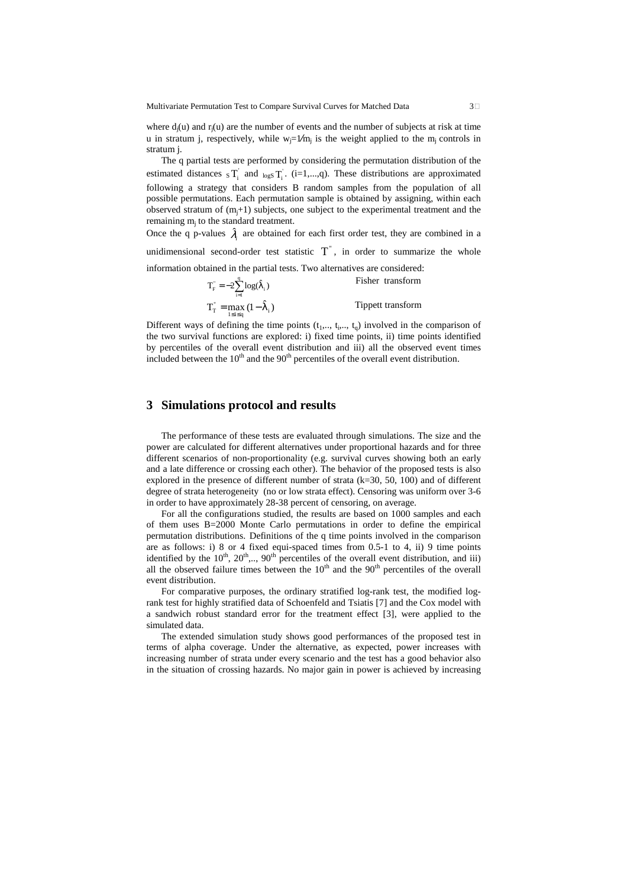Multivariate Permutation Test to Compare Survival Curves for Matched Data 3

where  $d_j(u)$  and  $r_j(u)$  are the number of events and the number of subjects at risk at time u in stratum j, respectively, while  $w_j = 1/m_j$  is the weight applied to the m<sub>j</sub> controls in stratum j.

The q partial tests are performed by considering the permutation distribution of the estimated distances  ${}_S T_i$  and  ${}_{logS} T_i$ . (i=1,...,q). These distributions are approximated following a strategy that considers B random samples from the population of all possible permutations. Each permutation sample is obtained by assigning, within each observed stratum of  $(m<sub>i</sub>+1)$  subjects, one subject to the experimental treatment and the remaining m<sub>j</sub> to the standard treatment.

Once the q p-values  $\hat{\lambda}_i$  are obtained for each first order test, they are combined in a unidimensional second-order test statistic  $T^{\dagger}$ , in order to summarize the whole information obtained in the partial tests. Two alternatives are considered:

> $=-2\sum_{i=1}^{q} \log(\hat{\lambda})$  $T_F = -2 \sum_{i=1}^{q} \log(\hat{\lambda}_i)$  Fisher transform

 $T_{\text{T}}^{\text{''}} = \max_{1 \leq i \leq q} (1 - \hat{\lambda}_i)$  $\sum_{1 \leq i \leq q}$   $(1 - \lambda)$ Tippett transform

Different ways of defining the time points  $(t_1, \ldots, t_i, \ldots, t_q)$  involved in the comparison of the two survival functions are explored: i) fixed time points, ii) time points identified by percentiles of the overall event distribution and iii) all the observed event times included between the  $10<sup>th</sup>$  and the  $90<sup>th</sup>$  percentiles of the overall event distribution.

### **3 Simulations protocol and results**

The performance of these tests are evaluated through simulations. The size and the power are calculated for different alternatives under proportional hazards and for three different scenarios of non-proportionality (e.g. survival curves showing both an early and a late difference or crossing each other). The behavior of the proposed tests is also explored in the presence of different number of strata  $(k=30, 50, 100)$  and of different degree of strata heterogeneity (no or low strata effect). Censoring was uniform over 3-6 in order to have approximately 28-38 percent of censoring, on average.

For all the configurations studied, the results are based on 1000 samples and each of them uses B=2000 Monte Carlo permutations in order to define the empirical permutation distributions. Definitions of the q time points involved in the comparison are as follows: i) 8 or 4 fixed equi-spaced times from 0.5-1 to 4, ii) 9 time points identified by the  $10^{th}$ ,  $20^{th}$ ,...,  $90^{th}$  percentiles of the overall event distribution, and iii) all the observed failure times between the  $10<sup>th</sup>$  and the  $90<sup>th</sup>$  percentiles of the overall event distribution.

For comparative purposes, the ordinary stratified log-rank test, the modified logrank test for highly stratified data of Schoenfeld and Tsiatis [7] and the Cox model with a sandwich robust standard error for the treatment effect [3], were applied to the simulated data.

The extended simulation study shows good performances of the proposed test in terms of alpha coverage. Under the alternative, as expected, power increases with increasing number of strata under every scenario and the test has a good behavior also in the situation of crossing hazards. No major gain in power is achieved by increasing